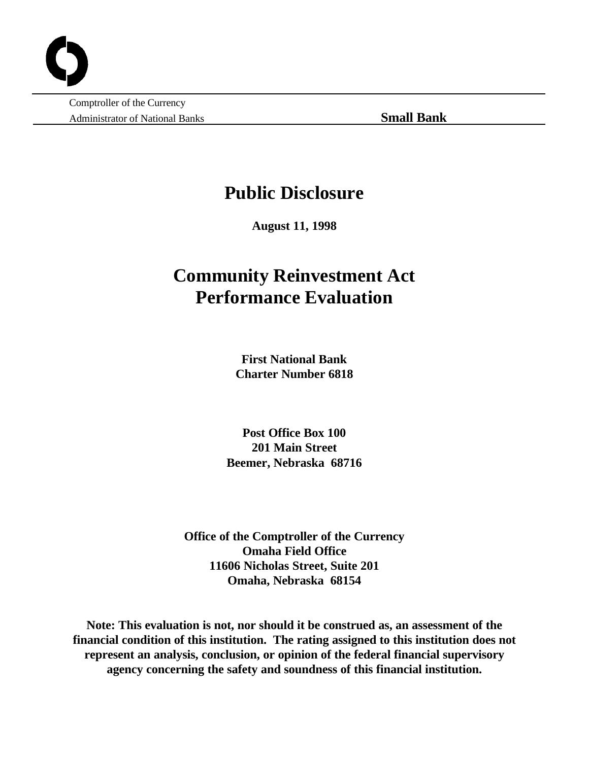Comptroller of the Currency Administrator of National Banks **Small Bank**

## **Public Disclosure**

**August 11, 1998**

# **Community Reinvestment Act Performance Evaluation**

**First National Bank Charter Number 6818**

**Post Office Box 100 201 Main Street Beemer, Nebraska 68716**

**Office of the Comptroller of the Currency Omaha Field Office 11606 Nicholas Street, Suite 201 Omaha, Nebraska 68154**

**Note: This evaluation is not, nor should it be construed as, an assessment of the financial condition of this institution. The rating assigned to this institution does not represent an analysis, conclusion, or opinion of the federal financial supervisory agency concerning the safety and soundness of this financial institution.**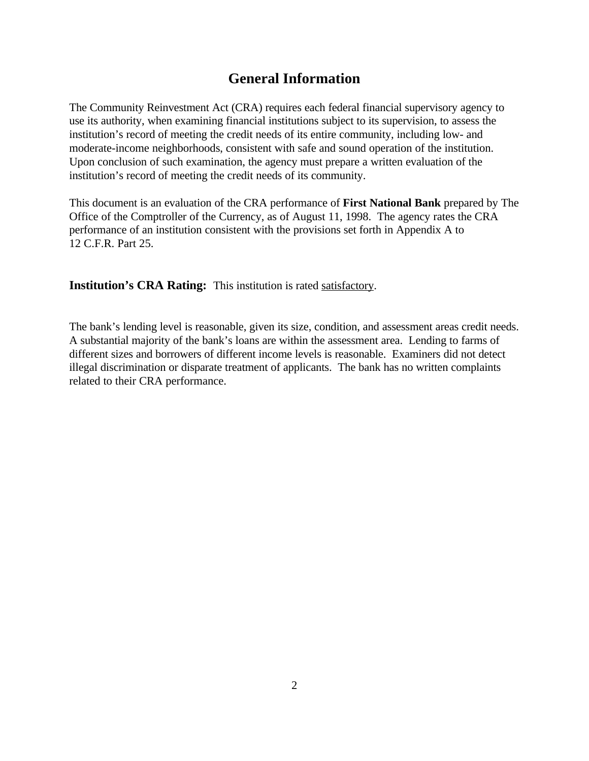### **General Information**

The Community Reinvestment Act (CRA) requires each federal financial supervisory agency to use its authority, when examining financial institutions subject to its supervision, to assess the institution's record of meeting the credit needs of its entire community, including low- and moderate-income neighborhoods, consistent with safe and sound operation of the institution. Upon conclusion of such examination, the agency must prepare a written evaluation of the institution's record of meeting the credit needs of its community.

This document is an evaluation of the CRA performance of **First National Bank** prepared by The Office of the Comptroller of the Currency, as of August 11, 1998. The agency rates the CRA performance of an institution consistent with the provisions set forth in Appendix A to 12 C.F.R. Part 25.

**Institution's CRA Rating:** This institution is rated satisfactory.

The bank's lending level is reasonable, given its size, condition, and assessment areas credit needs. A substantial majority of the bank's loans are within the assessment area. Lending to farms of different sizes and borrowers of different income levels is reasonable. Examiners did not detect illegal discrimination or disparate treatment of applicants. The bank has no written complaints related to their CRA performance.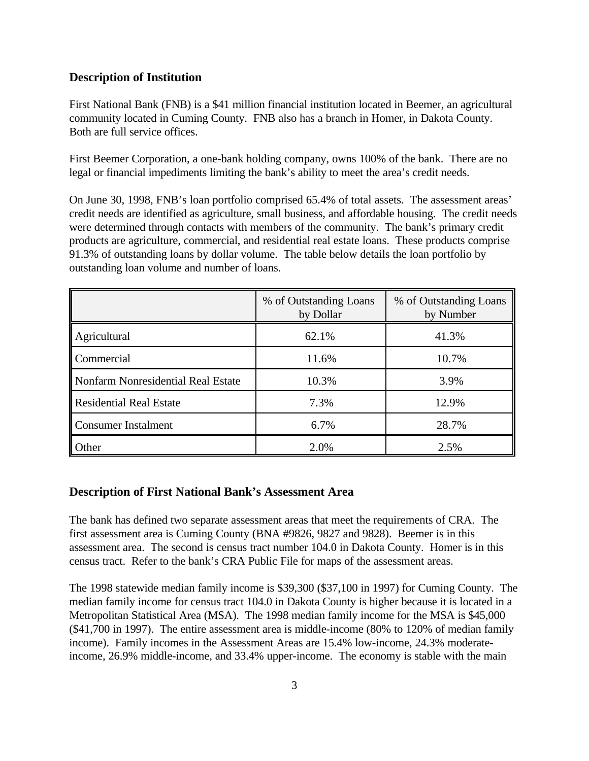#### **Description of Institution**

First National Bank (FNB) is a \$41 million financial institution located in Beemer, an agricultural community located in Cuming County. FNB also has a branch in Homer, in Dakota County. Both are full service offices.

First Beemer Corporation, a one-bank holding company, owns 100% of the bank. There are no legal or financial impediments limiting the bank's ability to meet the area's credit needs.

On June 30, 1998, FNB's loan portfolio comprised 65.4% of total assets. The assessment areas' credit needs are identified as agriculture, small business, and affordable housing. The credit needs were determined through contacts with members of the community. The bank's primary credit products are agriculture, commercial, and residential real estate loans. These products comprise 91.3% of outstanding loans by dollar volume. The table below details the loan portfolio by outstanding loan volume and number of loans.

|                                    | % of Outstanding Loans<br>by Dollar | % of Outstanding Loans<br>by Number |  |
|------------------------------------|-------------------------------------|-------------------------------------|--|
| Agricultural                       | 62.1%                               | 41.3%                               |  |
| Commercial                         | 11.6%                               | 10.7%                               |  |
| Nonfarm Nonresidential Real Estate | 10.3%                               | 3.9%                                |  |
| Residential Real Estate            | 7.3%                                | 12.9%                               |  |
| Consumer Instalment                | 6.7%                                | 28.7%                               |  |
| Other                              | 2.0%                                | 2.5%                                |  |

#### **Description of First National Bank's Assessment Area**

The bank has defined two separate assessment areas that meet the requirements of CRA. The first assessment area is Cuming County (BNA #9826, 9827 and 9828). Beemer is in this assessment area. The second is census tract number 104.0 in Dakota County. Homer is in this census tract. Refer to the bank's CRA Public File for maps of the assessment areas.

The 1998 statewide median family income is \$39,300 (\$37,100 in 1997) for Cuming County. The median family income for census tract 104.0 in Dakota County is higher because it is located in a Metropolitan Statistical Area (MSA). The 1998 median family income for the MSA is \$45,000 (\$41,700 in 1997). The entire assessment area is middle-income (80% to 120% of median family income). Family incomes in the Assessment Areas are 15.4% low-income, 24.3% moderateincome, 26.9% middle-income, and 33.4% upper-income. The economy is stable with the main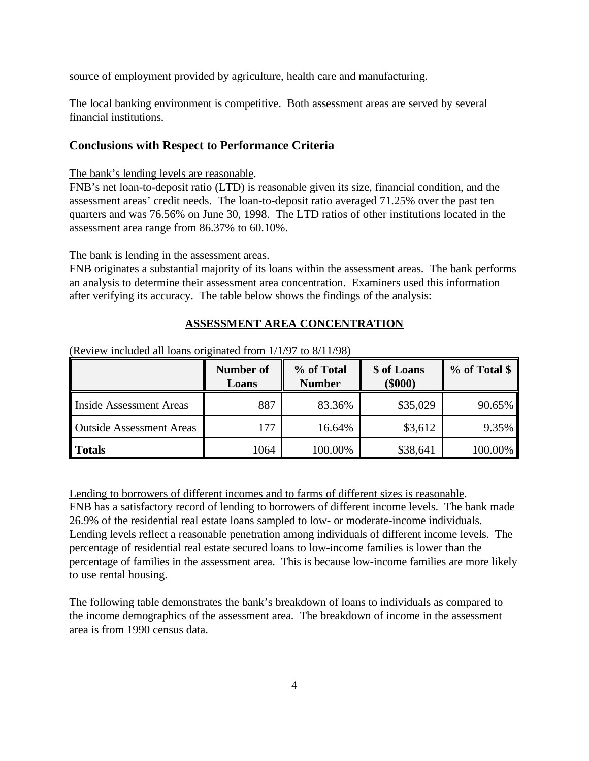source of employment provided by agriculture, health care and manufacturing.

The local banking environment is competitive. Both assessment areas are served by several financial institutions.

#### **Conclusions with Respect to Performance Criteria**

#### The bank's lending levels are reasonable.

FNB's net loan-to-deposit ratio (LTD) is reasonable given its size, financial condition, and the assessment areas' credit needs. The loan-to-deposit ratio averaged 71.25% over the past ten quarters and was 76.56% on June 30, 1998. The LTD ratios of other institutions located in the assessment area range from 86.37% to 60.10%.

The bank is lending in the assessment areas.

FNB originates a substantial majority of its loans within the assessment areas. The bank performs an analysis to determine their assessment area concentration. Examiners used this information after verifying its accuracy. The table below shows the findings of the analysis:

#### **ASSESSMENT AREA CONCENTRATION**

|                                 | Number of<br>Loans | % of Total<br><b>Number</b> | \$ of Loans<br>$(\$000)$ | % of Total \$ |
|---------------------------------|--------------------|-----------------------------|--------------------------|---------------|
| Inside Assessment Areas         | 887                | 83.36%                      | \$35,029                 | 90.65%        |
| <b>Outside Assessment Areas</b> | 177                | 16.64%                      | \$3,612                  | 9.35%         |
| <b>Totals</b>                   | 1064               | 100.00%                     | \$38,641                 | 100.00%       |

(Review included all loans originated from 1/1/97 to 8/11/98)

Lending to borrowers of different incomes and to farms of different sizes is reasonable. FNB has a satisfactory record of lending to borrowers of different income levels. The bank made 26.9% of the residential real estate loans sampled to low- or moderate-income individuals. Lending levels reflect a reasonable penetration among individuals of different income levels. The percentage of residential real estate secured loans to low-income families is lower than the percentage of families in the assessment area. This is because low-income families are more likely to use rental housing.

The following table demonstrates the bank's breakdown of loans to individuals as compared to the income demographics of the assessment area. The breakdown of income in the assessment area is from 1990 census data.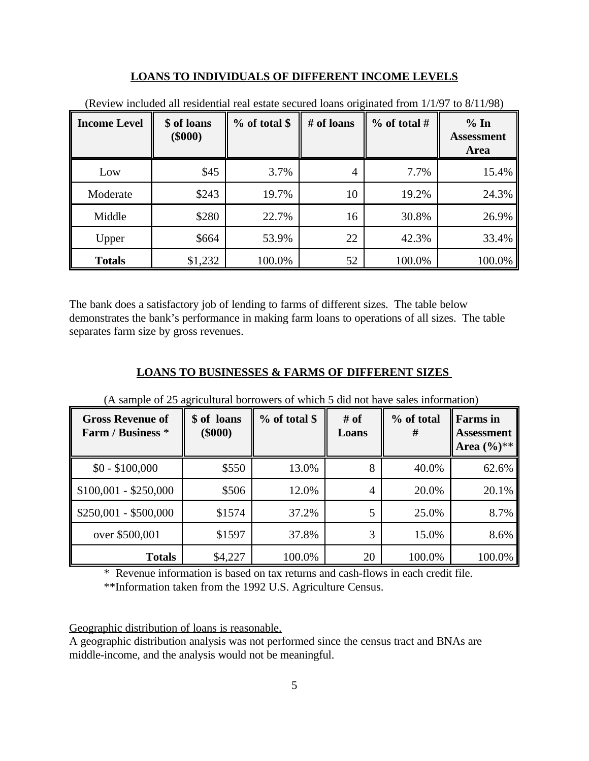#### **LOANS TO INDIVIDUALS OF DIFFERENT INCOME LEVELS**

| <b>Income Level</b> | \$ of loans<br>$(\$000)$ | $%$ of total \$ | # of loans | % of total # | % In<br><b>Assessment</b><br><b>Area</b> |
|---------------------|--------------------------|-----------------|------------|--------------|------------------------------------------|
| Low                 | \$45                     | 3.7%            | 4          | 7.7%         | 15.4%                                    |
| Moderate            | \$243                    | 19.7%           | 10         | 19.2%        | 24.3%                                    |
| Middle              | \$280                    | 22.7%           | 16         | 30.8%        | 26.9%                                    |
| Upper               | \$664                    | 53.9%           | 22         | 42.3%        | 33.4%                                    |
| <b>Totals</b>       | \$1,232                  | 100.0%          | 52         | 100.0%       | 100.0%                                   |

(Review included all residential real estate secured loans originated from 1/1/97 to 8/11/98)

The bank does a satisfactory job of lending to farms of different sizes. The table below demonstrates the bank's performance in making farm loans to operations of all sizes. The table separates farm size by gross revenues.

#### **LOANS TO BUSINESSES & FARMS OF DIFFERENT SIZES**

| <b>Gross Revenue of</b><br>Farm / Business * | \$ of loans<br>$(\$000)$ | % of total \$ | # of<br>Loans | % of total<br># | <b>Farms</b> in<br><b>Assessment</b><br>Area $(\%)^{**}$ |
|----------------------------------------------|--------------------------|---------------|---------------|-----------------|----------------------------------------------------------|
| $$0 - $100,000$                              | \$550                    | 13.0%         | 8             | 40.0%           | 62.6%                                                    |
| $$100,001 - $250,000$                        | \$506                    | 12.0%         | 4             | 20.0%           | 20.1%                                                    |
| $$250,001 - $500,000$                        | \$1574                   | 37.2%         | 5             | 25.0%           | 8.7%                                                     |
| over \$500,001                               | \$1597                   | 37.8%         | 3             | 15.0%           | 8.6%                                                     |
| <b>Totals</b>                                | \$4,227                  | 100.0%        | 20            | 100.0%          | 100.0%                                                   |

(A sample of 25 agricultural borrowers of which 5 did not have sales information)

\* Revenue information is based on tax returns and cash-flows in each credit file.

\*\*Information taken from the 1992 U.S. Agriculture Census.

#### Geographic distribution of loans is reasonable.

A geographic distribution analysis was not performed since the census tract and BNAs are middle-income, and the analysis would not be meaningful.